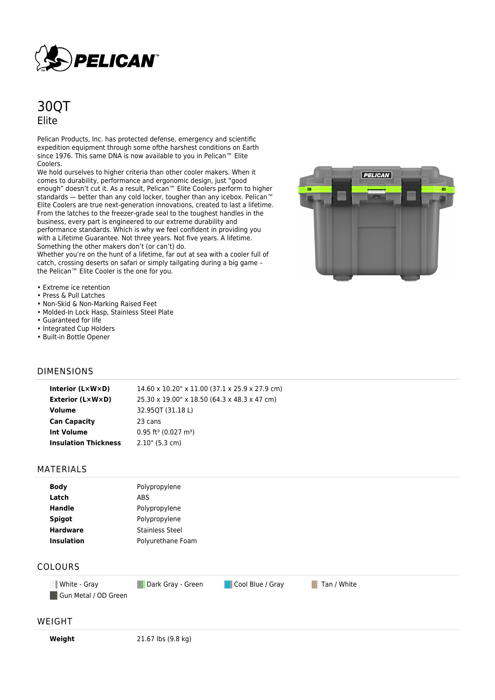

# 30QT Elite

Pelican Products, Inc. has protected defense, emergency and scientific expedition equipment through some ofthe harshest conditions on Earth since 1976. This same DNA is now available to you in Pelican™ Elite Coolers.

We hold ourselves to higher criteria than other cooler makers. When it comes to durability, performance and ergonomic design, just "good enough" doesn't cut it. As a result, Pelican™ Elite Coolers perform to higher standards — better than any cold locker, tougher than any icebox. Pelican™ Elite Coolers are true next-generation innovations, created to last a lifetime. From the latches to the freezer-grade seal to the toughest handles in the business, every part is engineered to our extreme durability and performance standards. Which is why we feel confident in providing you with a Lifetime Guarantee. Not three years. Not five years. A lifetime. Something the other makers don't (or can't) do.

Whether you're on the hunt of a lifetime, far out at sea with a cooler full of catch, crossing deserts on safari or simply tailgating during a big game – the Pelican™ Elite Cooler is the one for you.



- Extreme ice retention
- Press & Pull Latches
- Non-Skid & Non-Marking Raised Feet
- Molded-In Lock Hasp, Stainless Steel Plate
- Guaranteed for life
- Integrated Cup Holders
- Built-in Bottle Opener

### DIMENSIONS

| Interior (LxWxD)            | 14.60 x 10.20" x 11.00 (37.1 x 25.9 x 27.9 cm) |
|-----------------------------|------------------------------------------------|
| Exterior (L×W×D)            | 25.30 x 19.00" x 18.50 (64.3 x 48.3 x 47 cm)   |
| Volume                      | 32.95QT (31.18 L)                              |
| <b>Can Capacity</b>         | 23 cans                                        |
| <b>Int Volume</b>           | $0.95$ ft <sup>3</sup> (0.027 m <sup>3</sup> ) |
| <b>Insulation Thickness</b> | $2.10$ " (5.3 cm)                              |
|                             |                                                |

#### MATERIALS

| <b>Body</b>       | Polypropylene          |
|-------------------|------------------------|
| Latch             | <b>ABS</b>             |
| <b>Handle</b>     | Polypropylene          |
| <b>Spigot</b>     | Polypropylene          |
| <b>Hardware</b>   | <b>Stainless Steel</b> |
| <b>Insulation</b> | Polyurethane Foam      |
|                   |                        |

## COLOURS

**White - Gray Cool Blue / Gray Tan / White Cool Blue / Gray Tan / White** Gun Metal / OD Green

#### WEIGHT